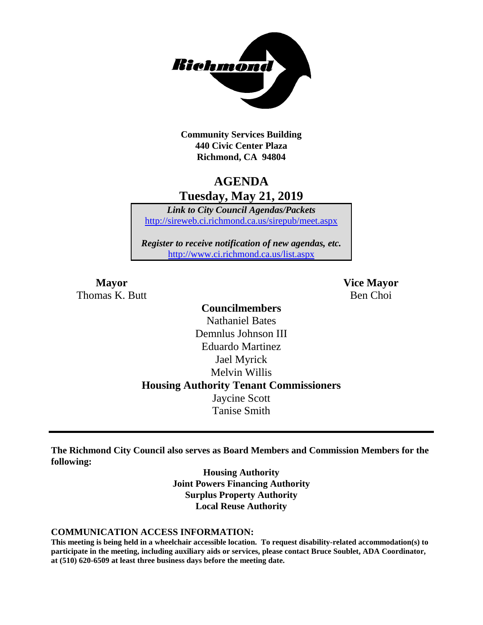

**Community Services Building 440 Civic Center Plaza Richmond, CA 94804**

## **AGENDA Tuesday, May 21, 2019**

*Link to City Council Agendas/Packets* <http://sireweb.ci.richmond.ca.us/sirepub/meet.aspx>

*Register to receive notification of new agendas, etc.* <http://www.ci.richmond.ca.us/list.aspx>

Thomas K. Butt Ben Choi

**Mayor Vice Mayor**

### **Councilmembers** Nathaniel Bates Demnlus Johnson III Eduardo Martinez Jael Myrick Melvin Willis **Housing Authority Tenant Commissioners** Jaycine Scott Tanise Smith

**The Richmond City Council also serves as Board Members and Commission Members for the following:**

> **Housing Authority Joint Powers Financing Authority Surplus Property Authority Local Reuse Authority**

#### **COMMUNICATION ACCESS INFORMATION:**

**This meeting is being held in a wheelchair accessible location. To request disability-related accommodation(s) to participate in the meeting, including auxiliary aids or services, please contact Bruce Soublet, ADA Coordinator, at (510) 620-6509 at least three business days before the meeting date.**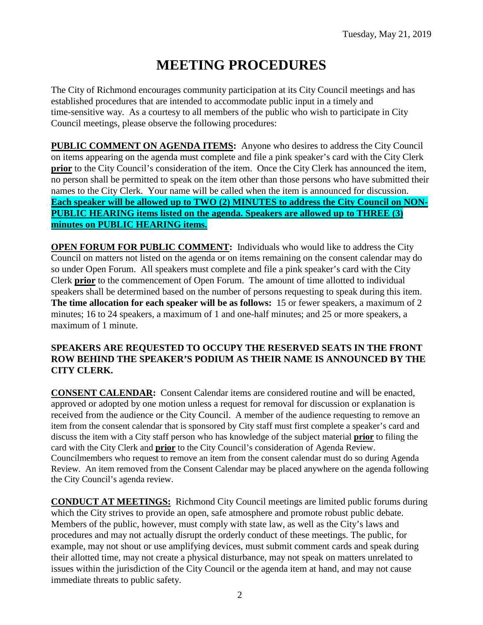# **MEETING PROCEDURES**

The City of Richmond encourages community participation at its City Council meetings and has established procedures that are intended to accommodate public input in a timely and time-sensitive way. As a courtesy to all members of the public who wish to participate in City Council meetings, please observe the following procedures:

**PUBLIC COMMENT ON AGENDA ITEMS:** Anyone who desires to address the City Council on items appearing on the agenda must complete and file a pink speaker's card with the City Clerk **prior** to the City Council's consideration of the item. Once the City Clerk has announced the item, no person shall be permitted to speak on the item other than those persons who have submitted their names to the City Clerk. Your name will be called when the item is announced for discussion. **Each speaker will be allowed up to TWO (2) MINUTES to address the City Council on NON-PUBLIC HEARING items listed on the agenda. Speakers are allowed up to THREE (3) minutes on PUBLIC HEARING items.**

**OPEN FORUM FOR PUBLIC COMMENT:** Individuals who would like to address the City Council on matters not listed on the agenda or on items remaining on the consent calendar may do so under Open Forum. All speakers must complete and file a pink speaker's card with the City Clerk **prior** to the commencement of Open Forum. The amount of time allotted to individual speakers shall be determined based on the number of persons requesting to speak during this item. **The time allocation for each speaker will be as follows:** 15 or fewer speakers, a maximum of 2 minutes; 16 to 24 speakers, a maximum of 1 and one-half minutes; and 25 or more speakers, a maximum of 1 minute.

#### **SPEAKERS ARE REQUESTED TO OCCUPY THE RESERVED SEATS IN THE FRONT ROW BEHIND THE SPEAKER'S PODIUM AS THEIR NAME IS ANNOUNCED BY THE CITY CLERK.**

**CONSENT CALENDAR:** Consent Calendar items are considered routine and will be enacted, approved or adopted by one motion unless a request for removal for discussion or explanation is received from the audience or the City Council. A member of the audience requesting to remove an item from the consent calendar that is sponsored by City staff must first complete a speaker's card and discuss the item with a City staff person who has knowledge of the subject material **prior** to filing the card with the City Clerk and **prior** to the City Council's consideration of Agenda Review. Councilmembers who request to remove an item from the consent calendar must do so during Agenda Review. An item removed from the Consent Calendar may be placed anywhere on the agenda following the City Council's agenda review.

**CONDUCT AT MEETINGS:** Richmond City Council meetings are limited public forums during which the City strives to provide an open, safe atmosphere and promote robust public debate. Members of the public, however, must comply with state law, as well as the City's laws and procedures and may not actually disrupt the orderly conduct of these meetings. The public, for example, may not shout or use amplifying devices, must submit comment cards and speak during their allotted time, may not create a physical disturbance, may not speak on matters unrelated to issues within the jurisdiction of the City Council or the agenda item at hand, and may not cause immediate threats to public safety.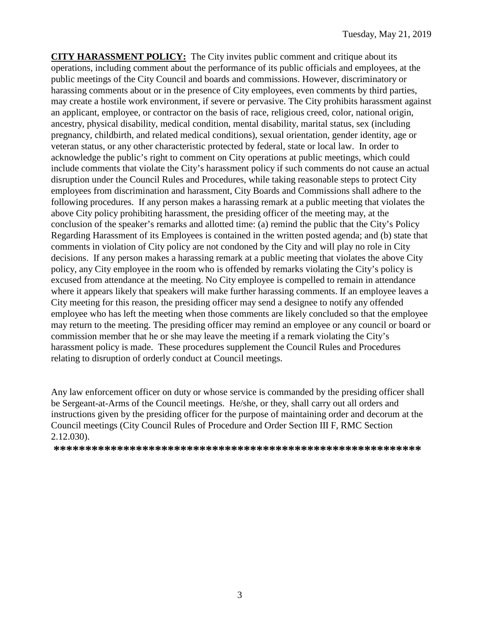**CITY HARASSMENT POLICY:** The City invites public comment and critique about its operations, including comment about the performance of its public officials and employees, at the public meetings of the City Council and boards and commissions. However, discriminatory or harassing comments about or in the presence of City employees, even comments by third parties, may create a hostile work environment, if severe or pervasive. The City prohibits harassment against an applicant, employee, or contractor on the basis of race, religious creed, color, national origin, ancestry, physical disability, medical condition, mental disability, marital status, sex (including pregnancy, childbirth, and related medical conditions), sexual orientation, gender identity, age or veteran status, or any other characteristic protected by federal, state or local law. In order to acknowledge the public's right to comment on City operations at public meetings, which could include comments that violate the City's harassment policy if such comments do not cause an actual disruption under the Council Rules and Procedures, while taking reasonable steps to protect City employees from discrimination and harassment, City Boards and Commissions shall adhere to the following procedures. If any person makes a harassing remark at a public meeting that violates the above City policy prohibiting harassment, the presiding officer of the meeting may, at the conclusion of the speaker's remarks and allotted time: (a) remind the public that the City's Policy Regarding Harassment of its Employees is contained in the written posted agenda; and (b) state that comments in violation of City policy are not condoned by the City and will play no role in City decisions. If any person makes a harassing remark at a public meeting that violates the above City policy, any City employee in the room who is offended by remarks violating the City's policy is excused from attendance at the meeting. No City employee is compelled to remain in attendance where it appears likely that speakers will make further harassing comments. If an employee leaves a City meeting for this reason, the presiding officer may send a designee to notify any offended employee who has left the meeting when those comments are likely concluded so that the employee may return to the meeting. The presiding officer may remind an employee or any council or board or commission member that he or she may leave the meeting if a remark violating the City's harassment policy is made. These procedures supplement the Council Rules and Procedures relating to disruption of orderly conduct at Council meetings.

Any law enforcement officer on duty or whose service is commanded by the presiding officer shall be Sergeant-at-Arms of the Council meetings. He/she, or they, shall carry out all orders and instructions given by the presiding officer for the purpose of maintaining order and decorum at the Council meetings (City Council Rules of Procedure and Order Section III F, RMC Section 2.12.030).

**\*\*\*\*\*\*\*\*\*\*\*\*\*\*\*\*\*\*\*\*\*\*\*\*\*\*\*\*\*\*\*\*\*\*\*\*\*\*\*\*\*\*\*\*\*\*\*\*\*\*\*\*\*\*\*\*\*\***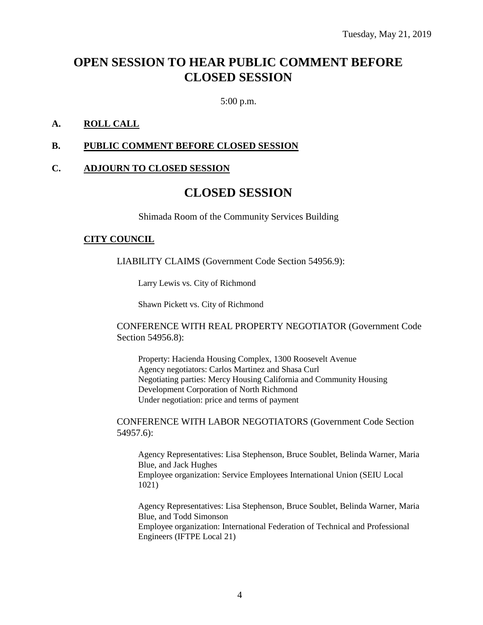## **OPEN SESSION TO HEAR PUBLIC COMMENT BEFORE CLOSED SESSION**

5:00 p.m.

#### **A. ROLL CALL**

#### **B. PUBLIC COMMENT BEFORE CLOSED SESSION**

#### **C. ADJOURN TO CLOSED SESSION**

### **CLOSED SESSION**

Shimada Room of the Community Services Building

#### **CITY COUNCIL**

LIABILITY CLAIMS (Government Code Section 54956.9):

Larry Lewis vs. City of Richmond

Shawn Pickett vs. City of Richmond

#### CONFERENCE WITH REAL PROPERTY NEGOTIATOR (Government Code Section 54956.8):

Property: Hacienda Housing Complex, 1300 Roosevelt Avenue Agency negotiators: Carlos Martinez and Shasa Curl Negotiating parties: Mercy Housing California and Community Housing Development Corporation of North Richmond Under negotiation: price and terms of payment

CONFERENCE WITH LABOR NEGOTIATORS (Government Code Section 54957.6):

Agency Representatives: Lisa Stephenson, Bruce Soublet, Belinda Warner, Maria Blue, and Jack Hughes Employee organization: Service Employees International Union (SEIU Local 1021)

Agency Representatives: Lisa Stephenson, Bruce Soublet, Belinda Warner, Maria Blue, and Todd Simonson Employee organization: International Federation of Technical and Professional Engineers (IFTPE Local 21)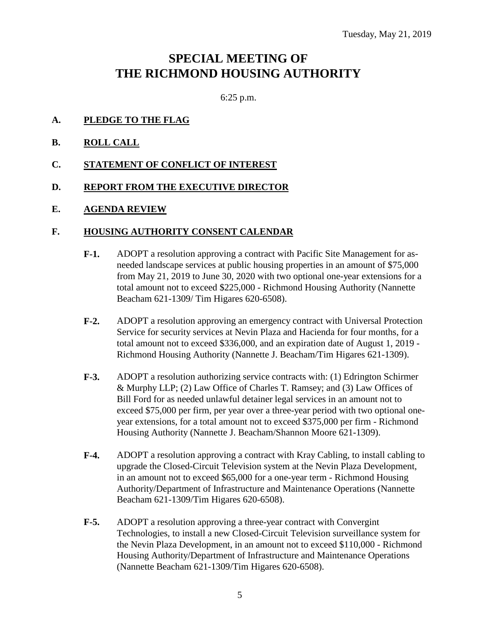## **SPECIAL MEETING OF THE RICHMOND HOUSING AUTHORITY**

6:25 p.m.

- **A. PLEDGE TO THE FLAG**
- **B. ROLL CALL**
- **C. STATEMENT OF CONFLICT OF INTEREST**
- **D. REPORT FROM THE EXECUTIVE DIRECTOR**
- **E. AGENDA REVIEW**

#### **F. HOUSING AUTHORITY CONSENT CALENDAR**

- **F-1.** ADOPT a resolution approving a contract with Pacific Site Management for asneeded landscape services at public housing properties in an amount of \$75,000 from May 21, 2019 to June 30, 2020 with two optional one-year extensions for a total amount not to exceed \$225,000 - Richmond Housing Authority (Nannette Beacham 621-1309/ Tim Higares 620-6508).
- **F-2.** ADOPT a resolution approving an emergency contract with Universal Protection Service for security services at Nevin Plaza and Hacienda for four months, for a total amount not to exceed \$336,000, and an expiration date of August 1, 2019 - Richmond Housing Authority (Nannette J. Beacham/Tim Higares 621-1309).
- **F-3.** ADOPT a resolution authorizing service contracts with: (1) Edrington Schirmer & Murphy LLP; (2) Law Office of Charles T. Ramsey; and (3) Law Offices of Bill Ford for as needed unlawful detainer legal services in an amount not to exceed \$75,000 per firm, per year over a three-year period with two optional oneyear extensions, for a total amount not to exceed \$375,000 per firm - Richmond Housing Authority (Nannette J. Beacham/Shannon Moore 621-1309).
- **F-4.** ADOPT a resolution approving a contract with Kray Cabling, to install cabling to upgrade the Closed-Circuit Television system at the Nevin Plaza Development, in an amount not to exceed \$65,000 for a one-year term - Richmond Housing Authority/Department of Infrastructure and Maintenance Operations (Nannette Beacham 621-1309/Tim Higares 620-6508).
- **F-5.** ADOPT a resolution approving a three-year contract with Convergint Technologies, to install a new Closed-Circuit Television surveillance system for the Nevin Plaza Development, in an amount not to exceed \$110,000 - Richmond Housing Authority/Department of Infrastructure and Maintenance Operations (Nannette Beacham 621-1309/Tim Higares 620-6508).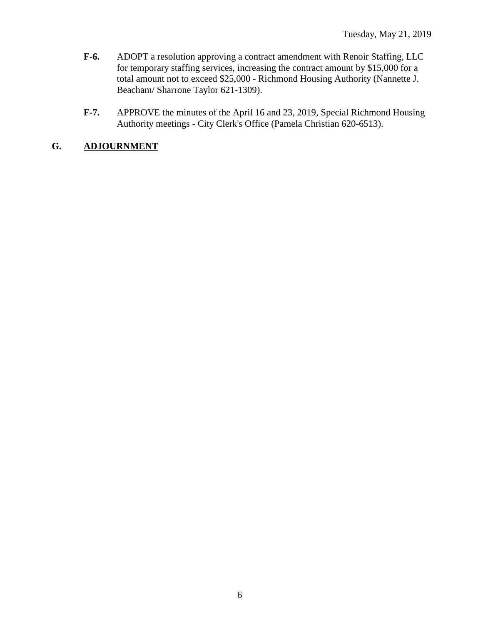- **F-6.** ADOPT a resolution approving a contract amendment with Renoir Staffing, LLC for temporary staffing services, increasing the contract amount by \$15,000 for a total amount not to exceed \$25,000 - Richmond Housing Authority (Nannette J. Beacham/ Sharrone Taylor 621-1309).
- **F-7.** APPROVE the minutes of the April 16 and 23, 2019, Special Richmond Housing Authority meetings - City Clerk's Office (Pamela Christian 620-6513).

### **G. ADJOURNMENT**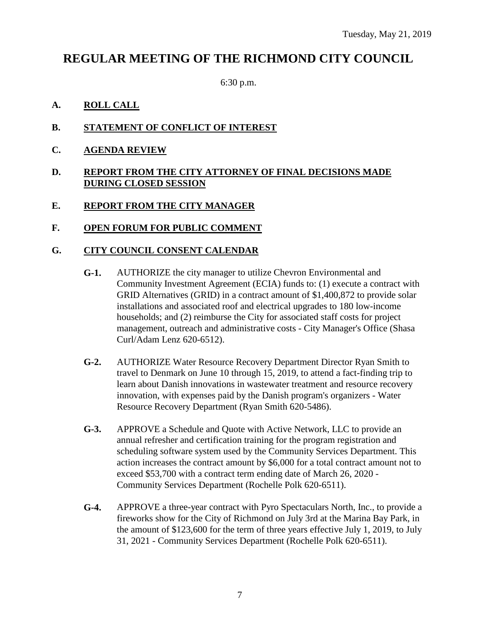## **REGULAR MEETING OF THE RICHMOND CITY COUNCIL**

6:30 p.m.

- **A. ROLL CALL**
- **B. STATEMENT OF CONFLICT OF INTEREST**
- **C. AGENDA REVIEW**
- **D. REPORT FROM THE CITY ATTORNEY OF FINAL DECISIONS MADE DURING CLOSED SESSION**
- **E. REPORT FROM THE CITY MANAGER**
- **F. OPEN FORUM FOR PUBLIC COMMENT**

#### **G. CITY COUNCIL CONSENT CALENDAR**

- **G-1.** AUTHORIZE the city manager to utilize Chevron Environmental and Community Investment Agreement (ECIA) funds to: (1) execute a contract with GRID Alternatives (GRID) in a contract amount of \$1,400,872 to provide solar installations and associated roof and electrical upgrades to 180 low-income households; and (2) reimburse the City for associated staff costs for project management, outreach and administrative costs - City Manager's Office (Shasa Curl/Adam Lenz 620-6512).
- **G-2.** AUTHORIZE Water Resource Recovery Department Director Ryan Smith to travel to Denmark on June 10 through 15, 2019, to attend a fact-finding trip to learn about Danish innovations in wastewater treatment and resource recovery innovation, with expenses paid by the Danish program's organizers - Water Resource Recovery Department (Ryan Smith 620-5486).
- **G-3.** APPROVE a Schedule and Quote with Active Network, LLC to provide an annual refresher and certification training for the program registration and scheduling software system used by the Community Services Department. This action increases the contract amount by \$6,000 for a total contract amount not to exceed \$53,700 with a contract term ending date of March 26, 2020 - Community Services Department (Rochelle Polk 620-6511).
- **G-4.** APPROVE a three-year contract with Pyro Spectaculars North, Inc., to provide a fireworks show for the City of Richmond on July 3rd at the Marina Bay Park, in the amount of \$123,600 for the term of three years effective July 1, 2019, to July 31, 2021 - Community Services Department (Rochelle Polk 620-6511).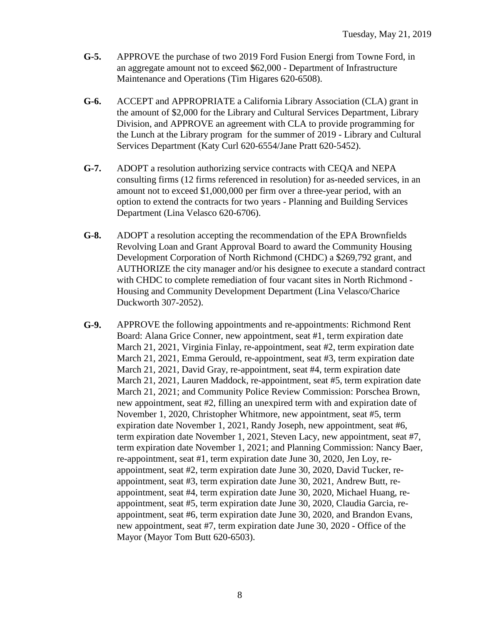- **G-5.** APPROVE the purchase of two 2019 Ford Fusion Energi from Towne Ford, in an aggregate amount not to exceed \$62,000 - Department of Infrastructure Maintenance and Operations (Tim Higares 620-6508).
- **G-6.** ACCEPT and APPROPRIATE a California Library Association (CLA) grant in the amount of \$2,000 for the Library and Cultural Services Department, Library Division, and APPROVE an agreement with CLA to provide programming for the Lunch at the Library program for the summer of 2019 - Library and Cultural Services Department (Katy Curl 620-6554/Jane Pratt 620-5452).
- **G-7.** ADOPT a resolution authorizing service contracts with CEQA and NEPA consulting firms (12 firms referenced in resolution) for as-needed services, in an amount not to exceed \$1,000,000 per firm over a three-year period, with an option to extend the contracts for two years - Planning and Building Services Department (Lina Velasco 620-6706).
- **G-8.** ADOPT a resolution accepting the recommendation of the EPA Brownfields Revolving Loan and Grant Approval Board to award the Community Housing Development Corporation of North Richmond (CHDC) a \$269,792 grant, and AUTHORIZE the city manager and/or his designee to execute a standard contract with CHDC to complete remediation of four vacant sites in North Richmond - Housing and Community Development Department (Lina Velasco/Charice Duckworth 307-2052).
- **G-9.** APPROVE the following appointments and re-appointments: Richmond Rent Board: Alana Grice Conner, new appointment, seat #1, term expiration date March 21, 2021, Virginia Finlay, re-appointment, seat #2, term expiration date March 21, 2021, Emma Gerould, re-appointment, seat #3, term expiration date March 21, 2021, David Gray, re-appointment, seat #4, term expiration date March 21, 2021, Lauren Maddock, re-appointment, seat #5, term expiration date March 21, 2021; and Community Police Review Commission: Porschea Brown, new appointment, seat #2, filling an unexpired term with and expiration date of November 1, 2020, Christopher Whitmore, new appointment, seat #5, term expiration date November 1, 2021, Randy Joseph, new appointment, seat #6, term expiration date November 1, 2021, Steven Lacy, new appointment, seat #7, term expiration date November 1, 2021; and Planning Commission: Nancy Baer, re-appointment, seat #1, term expiration date June 30, 2020, Jen Loy, reappointment, seat #2, term expiration date June 30, 2020, David Tucker, reappointment, seat #3, term expiration date June 30, 2021, Andrew Butt, reappointment, seat #4, term expiration date June 30, 2020, Michael Huang, reappointment, seat #5, term expiration date June 30, 2020, Claudia Garcia, reappointment, seat #6, term expiration date June 30, 2020, and Brandon Evans, new appointment, seat #7, term expiration date June 30, 2020 - Office of the Mayor (Mayor Tom Butt 620-6503).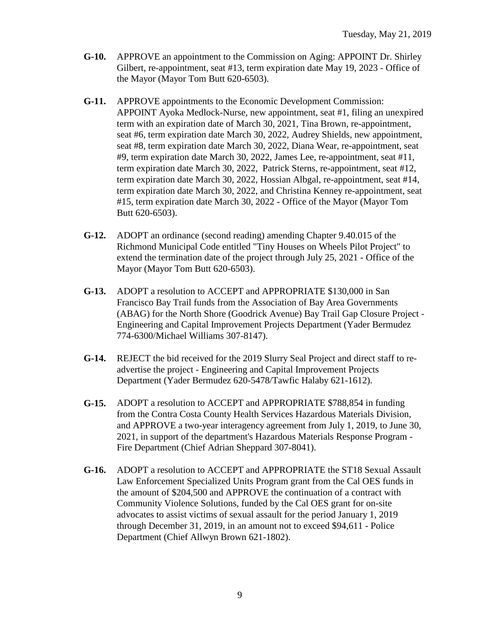- **G-10.** APPROVE an appointment to the Commission on Aging: APPOINT Dr. Shirley Gilbert, re-appointment, seat #13, term expiration date May 19, 2023 - Office of the Mayor (Mayor Tom Butt 620-6503).
- **G-11.** APPROVE appointments to the Economic Development Commission: APPOINT Ayoka Medlock-Nurse, new appointment, seat #1, filing an unexpired term with an expiration date of March 30, 2021, Tina Brown, re-appointment, seat #6, term expiration date March 30, 2022, Audrey Shields, new appointment, seat #8, term expiration date March 30, 2022, Diana Wear, re-appointment, seat #9, term expiration date March 30, 2022, James Lee, re-appointment, seat #11, term expiration date March 30, 2022, Patrick Sterns, re-appointment, seat #12, term expiration date March 30, 2022, Hossian Albgal, re-appointment, seat #14, term expiration date March 30, 2022, and Christina Kenney re-appointment, seat #15, term expiration date March 30, 2022 - Office of the Mayor (Mayor Tom Butt 620-6503).
- **G-12.** ADOPT an ordinance (second reading) amending Chapter 9.40.015 of the Richmond Municipal Code entitled "Tiny Houses on Wheels Pilot Project" to extend the termination date of the project through July 25, 2021 - Office of the Mayor (Mayor Tom Butt 620-6503).
- **G-13.** ADOPT a resolution to ACCEPT and APPROPRIATE \$130,000 in San Francisco Bay Trail funds from the Association of Bay Area Governments (ABAG) for the North Shore (Goodrick Avenue) Bay Trail Gap Closure Project - Engineering and Capital Improvement Projects Department (Yader Bermudez 774-6300/Michael Williams 307-8147).
- **G-14.** REJECT the bid received for the 2019 Slurry Seal Project and direct staff to readvertise the project - Engineering and Capital Improvement Projects Department (Yader Bermudez 620-5478/Tawfic Halaby 621-1612).
- **G-15.** ADOPT a resolution to ACCEPT and APPROPRIATE \$788,854 in funding from the Contra Costa County Health Services Hazardous Materials Division, and APPROVE a two-year interagency agreement from July 1, 2019, to June 30, 2021, in support of the department's Hazardous Materials Response Program - Fire Department (Chief Adrian Sheppard 307-8041).
- **G-16.** ADOPT a resolution to ACCEPT and APPROPRIATE the ST18 Sexual Assault Law Enforcement Specialized Units Program grant from the Cal OES funds in the amount of \$204,500 and APPROVE the continuation of a contract with Community Violence Solutions, funded by the Cal OES grant for on-site advocates to assist victims of sexual assault for the period January 1, 2019 through December 31, 2019, in an amount not to exceed \$94,611 - Police Department (Chief Allwyn Brown 621-1802).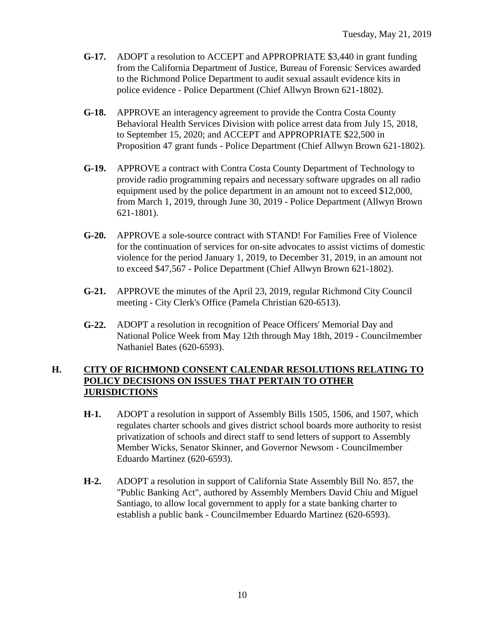- **G-17.** ADOPT a resolution to ACCEPT and APPROPRIATE \$3,440 in grant funding from the California Department of Justice, Bureau of Forensic Services awarded to the Richmond Police Department to audit sexual assault evidence kits in police evidence - Police Department (Chief Allwyn Brown 621-1802).
- **G-18.** APPROVE an interagency agreement to provide the Contra Costa County Behavioral Health Services Division with police arrest data from July 15, 2018, to September 15, 2020; and ACCEPT and APPROPRIATE \$22,500 in Proposition 47 grant funds - Police Department (Chief Allwyn Brown 621-1802).
- **G-19.** APPROVE a contract with Contra Costa County Department of Technology to provide radio programming repairs and necessary software upgrades on all radio equipment used by the police department in an amount not to exceed \$12,000, from March 1, 2019, through June 30, 2019 - Police Department (Allwyn Brown 621-1801).
- **G-20.** APPROVE a sole-source contract with STAND! For Families Free of Violence for the continuation of services for on-site advocates to assist victims of domestic violence for the period January 1, 2019, to December 31, 2019, in an amount not to exceed \$47,567 - Police Department (Chief Allwyn Brown 621-1802).
- **G-21.** APPROVE the minutes of the April 23, 2019, regular Richmond City Council meeting - City Clerk's Office (Pamela Christian 620-6513).
- **G-22.** ADOPT a resolution in recognition of Peace Officers' Memorial Day and National Police Week from May 12th through May 18th, 2019 - Councilmember Nathaniel Bates (620-6593).

#### **H. CITY OF RICHMOND CONSENT CALENDAR RESOLUTIONS RELATING TO POLICY DECISIONS ON ISSUES THAT PERTAIN TO OTHER JURISDICTIONS**

- **H-1.** ADOPT a resolution in support of Assembly Bills 1505, 1506, and 1507, which regulates charter schools and gives district school boards more authority to resist privatization of schools and direct staff to send letters of support to Assembly Member Wicks, Senator Skinner, and Governor Newsom - Councilmember Eduardo Martinez (620-6593).
- **H-2.** ADOPT a resolution in support of California State Assembly Bill No. 857, the "Public Banking Act", authored by Assembly Members David Chiu and Miguel Santiago, to allow local government to apply for a state banking charter to establish a public bank - Councilmember Eduardo Martinez (620-6593).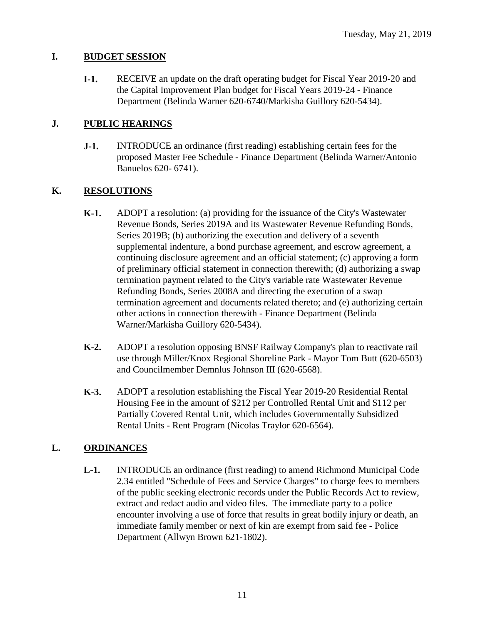#### **I. BUDGET SESSION**

**I-1.** RECEIVE an update on the draft operating budget for Fiscal Year 2019-20 and the Capital Improvement Plan budget for Fiscal Years 2019-24 - Finance Department (Belinda Warner 620-6740/Markisha Guillory 620-5434).

#### **J. PUBLIC HEARINGS**

**J-1.** INTRODUCE an ordinance (first reading) establishing certain fees for the proposed Master Fee Schedule - Finance Department (Belinda Warner/Antonio Banuelos 620- 6741).

#### **K. RESOLUTIONS**

- **K-1.** ADOPT a resolution: (a) providing for the issuance of the City's Wastewater Revenue Bonds, Series 2019A and its Wastewater Revenue Refunding Bonds, Series 2019B; (b) authorizing the execution and delivery of a seventh supplemental indenture, a bond purchase agreement, and escrow agreement, a continuing disclosure agreement and an official statement; (c) approving a form of preliminary official statement in connection therewith; (d) authorizing a swap termination payment related to the City's variable rate Wastewater Revenue Refunding Bonds, Series 2008A and directing the execution of a swap termination agreement and documents related thereto; and (e) authorizing certain other actions in connection therewith - Finance Department (Belinda Warner/Markisha Guillory 620-5434).
- **K-2.** ADOPT a resolution opposing BNSF Railway Company's plan to reactivate rail use through Miller/Knox Regional Shoreline Park - Mayor Tom Butt (620-6503) and Councilmember Demnlus Johnson III (620-6568).
- **K-3.** ADOPT a resolution establishing the Fiscal Year 2019-20 Residential Rental Housing Fee in the amount of \$212 per Controlled Rental Unit and \$112 per Partially Covered Rental Unit, which includes Governmentally Subsidized Rental Units - Rent Program (Nicolas Traylor 620-6564).

#### **L. ORDINANCES**

**L-1.** INTRODUCE an ordinance (first reading) to amend Richmond Municipal Code 2.34 entitled "Schedule of Fees and Service Charges" to charge fees to members of the public seeking electronic records under the Public Records Act to review, extract and redact audio and video files. The immediate party to a police encounter involving a use of force that results in great bodily injury or death, an immediate family member or next of kin are exempt from said fee - Police Department (Allwyn Brown 621-1802).